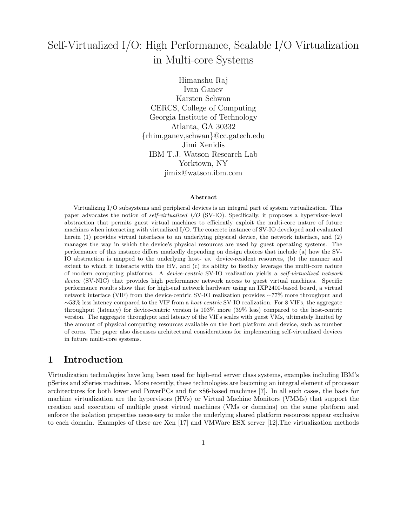# Self-Virtualized I/O: High Performance, Scalable I/O Virtualization in Multi-core Systems

Himanshu Raj Ivan Ganev Karsten Schwan CERCS, College of Computing Georgia Institute of Technology Atlanta, GA 30332 {rhim,ganev,schwan}@cc.gatech.edu Jimi Xenidis IBM T.J. Watson Research Lab Yorktown, NY jimix@watson.ibm.com

#### Abstract

Virtualizing I/O subsystems and peripheral devices is an integral part of system virtualization. This paper advocates the notion of self-virtualized I/O (SV-IO). Specifically, it proposes a hypervisor-level abstraction that permits guest virtual machines to efficiently exploit the multi-core nature of future machines when interacting with virtualized I/O. The concrete instance of SV-IO developed and evaluated herein (1) provides virtual interfaces to an underlying physical device, the network interface, and (2) manages the way in which the device's physical resources are used by guest operating systems. The performance of this instance differs markedly depending on design choices that include (a) how the SV-IO abstraction is mapped to the underlying host- vs. device-resident resources, (b) the manner and extent to which it interacts with the HV, and (c) its ability to flexibly leverage the multi-core nature of modern computing platforms. A device-centric SV-IO realization yields a self-virtualized network device (SV-NIC) that provides high performance network access to guest virtual machines. Specific performance results show that for high-end network hardware using an IXP2400-based board, a virtual network interface (VIF) from the device-centric SV-IO realization provides ∼77% more throughput and ∼53% less latency compared to the VIF from a host-centric SV-IO realization. For 8 VIFs, the aggregate throughput (latency) for device-centric version is 103% more (39% less) compared to the host-centric version. The aggregate throughput and latency of the VIFs scales with guest VMs, ultimately limited by the amount of physical computing resources available on the host platform and device, such as number of cores. The paper also discusses architectural considerations for implementing self-virtualized devices in future multi-core systems.

### 1 Introduction

Virtualization technologies have long been used for high-end server class systems, examples including IBM's pSeries and zSeries machines. More recently, these technologies are becoming an integral element of processor architectures for both lower end PowerPCs and for x86-based machines [7]. In all such cases, the basis for machine virtualization are the hypervisors (HVs) or Virtual Machine Monitors (VMMs) that support the creation and execution of multiple guest virtual machines (VMs or domains) on the same platform and enforce the isolation properties necessary to make the underlying shared platform resources appear exclusive to each domain. Examples of these are Xen [17] and VMWare ESX server [12].The virtualization methods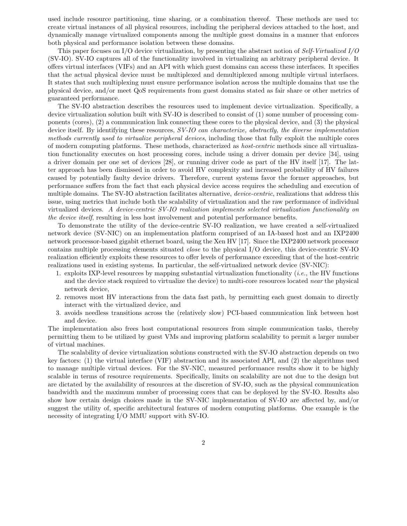used include resource partitioning, time sharing, or a combination thereof. These methods are used to: create virtual instances of all physical resources, including the peripheral devices attached to the host, and dynamically manage virtualized components among the multiple guest domains in a manner that enforces both physical and performance isolation between these domains.

This paper focuses on I/O device virtualization, by presenting the abstract notion of Self-Virtualized I/O (SV-IO). SV-IO captures all of the functionality involved in virtualizing an arbitrary peripheral device. It offers virtual interfaces (VIFs) and an API with which guest domains can access these interfaces. It specifies that the actual physical device must be multiplexed and demultiplexed among multiple virtual interfaces. It states that such multiplexing must ensure performance isolation across the multiple domains that use the physical device, and/or meet QoS requirements from guest domains stated as fair share or other metrics of guaranteed performance.

The SV-IO abstraction describes the resources used to implement device virtualization. Specifically, a device virtualization solution built with SV-IO is described to consist of (1) some number of processing components (cores), (2) a communication link connecting these cores to the physical device, and (3) the physical device itself. By identifying these resources,  $SV$ -IO can characterize, abstractly, the diverse implementation methods currently used to virtualize peripheral devices, including those that fully exploit the multiple cores of modern computing platforms. These methods, characterized as host-centric methods since all virtualization functionality executes on host processing cores, include using a driver domain per device [34], using a driver domain per one set of devices [28], or running driver code as part of the HV itself [17]. The latter approach has been dismissed in order to avoid HV complexity and increased probability of HV failures caused by potentially faulty device drivers. Therefore, current systems favor the former approaches, but performance suffers from the fact that each physical device access requires the scheduling and execution of multiple domains. The SV-IO abstraction facilitates alternative, *device-centric*, realizations that address this issue, using metrics that include both the scalability of virtualization and the raw performance of individual virtualized devices. A device-centric SV-IO realization implements selected virtualization functionality on the device itself, resulting in less host involvement and potential performance benefits.

To demonstrate the utility of the device-centric SV-IO realization, we have created a self-virtualized network device (SV-NIC) on an implementation platform comprised of an IA-based host and an IXP2400 network processor-based gigabit ethernet board, using the Xen HV [17]. Since the IXP2400 network processor contains multiple processing elements situated close to the physical I/O device, this device-centric SV-IO realization efficiently exploits these resources to offer levels of performance exceeding that of the host-centric realizations used in existing systems. In particular, the self-virtualized network device (SV-NIC):

- 1. exploits IXP-level resources by mapping substantial virtualization functionality (*i.e.*, the HV functions and the device stack required to virtualize the device) to multi-core resources located near the physical network device,
- 2. removes most HV interactions from the data fast path, by permitting each guest domain to directly interact with the virtualized device, and
- 3. avoids needless transitions across the (relatively slow) PCI-based communication link between host and device.

The implementation also frees host computational resources from simple communication tasks, thereby permitting them to be utilized by guest VMs and improving platform scalability to permit a larger number of virtual machines.

The scalability of device virtualization solutions constructed with the SV-IO abstraction depends on two key factors: (1) the virtual interface (VIF) abstraction and its associated API, and (2) the algorithms used to manage multiple virtual devices. For the SV-NIC, measured performance results show it to be highly scalable in terms of resource requirements. Specifically, limits on scalability are not due to the design but are dictated by the availability of resources at the discretion of SV-IO, such as the physical communication bandwidth and the maximum number of processing cores that can be deployed by the SV-IO. Results also show how certain design choices made in the SV-NIC implementation of SV-IO are affected by, and/or suggest the utility of, specific architectural features of modern computing platforms. One example is the necessity of integrating I/O MMU support with SV-IO.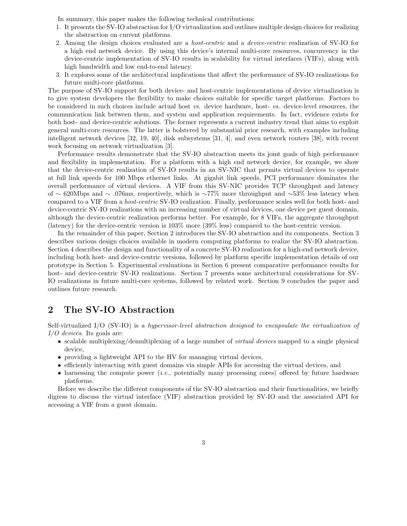In summary, this paper makes the following technical contributions:

- 1. It presents the SV-IO abstraction for I/O virtualization and outlines multiple design choices for realizing the abstraction on current platforms.
- 2. Among the design choices evaluated are a host-centric and a device-centric realization of SV-IO for a high end network device. By using this device's internal multi-core resources, concurrency in the device-centric implementation of SV-IO results in scalability for virtual interfaces (VIFs), along with high bandwidth and low end-to-end latency.
- 3. It explores some of the architectural implications that affect the performance of SV-IO realizations for future multi-core platforms.

The purpose of SV-IO support for both device- and host-centric implementations of device virtualization is to give system developers the flexibility to make choices suitable for specific target platforms. Factors to be considered in such choices include actual host vs. device hardware, host- vs. device-level resources, the communication link between them, and system and application requirements. In fact, evidence exists for both host- and device-centric solutions. The former represents a current industry trend that aims to exploit general multi-core resources. The latter is bolstered by substantial prior research, with examples including intelligent network devices [32, 19, 40], disk subsystems [31, 4], and even network routers [38], with recent work focusing on network virtualization [3].

Performance results demonstrate that the SV-IO abstraction meets its joint goals of high performance and flexibility in implementation. For a platform with a high end network device, for example, we show that the device-centric realization of SV-IO results in an SV-NIC that permits virtual devices to operate at full link speeds for 100 Mbps ethernet links. At gigabit link speeds, PCI performance dominates the overall performance of virtual devices. A VIF from this SV-NIC provides TCP throughput and latency of ∼ 620Mbps and ∼ .076ms, respectively, which is ∼77% more throughput and ∼53% less latency when compared to a VIF from a host-centric SV-IO realization. Finally, performance scales well for both host- and device-centric SV-IO realizations with an increasing number of virtual devices, one device per guest domain, although the device-centric realization performs better. For example, for 8 VIFs, the aggregate throughput (latency) for the device-centric version is 103% more (39% less) compared to the host-centric version.

In the remainder of this paper, Section 2 introduces the SV-IO abstraction and its components. Section 3 describes various design choices available in modern computing platforms to realize the SV-IO abstraction. Section 4 describes the design and functionality of a concrete SV-IO realization for a high-end network device, including both host- and device-centric versions, followed by platform specific implementation details of our prototype in Section 5. Experimental evaluations in Section 6 present comparative performance results for host- and device-centric SV-IO realizations. Section 7 presents some architectural considerations for SV-IO realizations in future multi-core systems, followed by related work. Section 9 concludes the paper and outlines future research.

### 2 The SV-IO Abstraction

Self-virtualized I/O (SV-IO) is a hypervisor-level abstraction designed to encapsulate the virtualization of I/O devices. Its goals are:

- scalable multiplexing/demultiplexing of a large number of *virtual devices* mapped to a single physical device,
- providing a lightweight API to the HV for managing virtual devices,
- efficiently interacting with guest domains via simple APIs for accessing the virtual devices, and
- harnessing the compute power (*i.e.*, potentially many processing cores) offered by future hardware platforms.

Before we describe the different components of the SV-IO abstraction and their functionalities, we briefly digress to discuss the virtual interface (VIF) abstraction provided by SV-IO and the associated API for accessing a VIF from a guest domain.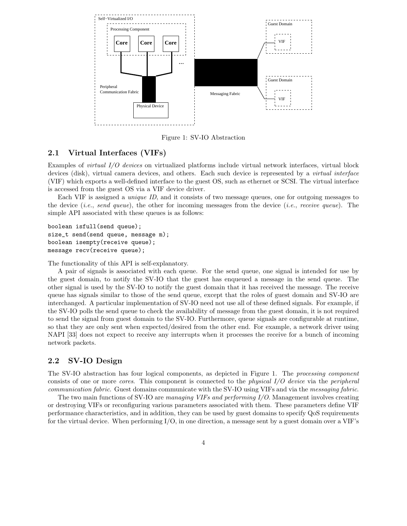

Figure 1: SV-IO Abstraction

### 2.1 Virtual Interfaces (VIFs)

Examples of virtual I/O devices on virtualized platforms include virtual network interfaces, virtual block devices (disk), virtual camera devices, and others. Each such device is represented by a *virtual interface* (VIF) which exports a well-defined interface to the guest OS, such as ethernet or SCSI. The virtual interface is accessed from the guest OS via a VIF device driver.

Each VIF is assigned a *unique ID*, and it consists of two message queues, one for outgoing messages to the device (*i.e.*, send queue), the other for incoming messages from the device (*i.e.*, receive queue). The simple API associated with these queues is as follows:

boolean isfull(send queue); size\_t send(send queue, message m); boolean isempty(receive queue); message recv(receive queue);

The functionality of this API is self-explanatory.

A pair of signals is associated with each queue. For the send queue, one signal is intended for use by the guest domain, to notify the SV-IO that the guest has enqueued a message in the send queue. The other signal is used by the SV-IO to notify the guest domain that it has received the message. The receive queue has signals similar to those of the send queue, except that the roles of guest domain and SV-IO are interchanged. A particular implementation of SV-IO need not use all of these defined signals. For example, if the SV-IO polls the send queue to check the availability of message from the guest domain, it is not required to send the signal from guest domain to the SV-IO. Furthermore, queue signals are configurable at runtime, so that they are only sent when expected/desired from the other end. For example, a network driver using NAPI [33] does not expect to receive any interrupts when it processes the receive for a bunch of incoming network packets.

### 2.2 SV-IO Design

The SV-IO abstraction has four logical components, as depicted in Figure 1. The processing component consists of one or more cores. This component is connected to the physical I/O device via the peripheral communication fabric. Guest domains communicate with the SV-IO using VIFs and via the messaging fabric.

The two main functions of SV-IO are managing VIFs and performing I/O. Management involves creating or destroying VIFs or reconfiguring various parameters associated with them. These parameters define VIF performance characteristics, and in addition, they can be used by guest domains to specify QoS requirements for the virtual device. When performing I/O, in one direction, a message sent by a guest domain over a VIF's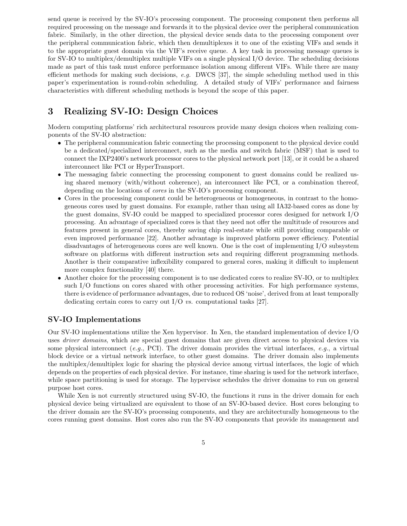send queue is received by the SV-IO's processing component. The processing component then performs all required processing on the message and forwards it to the physical device over the peripheral communication fabric. Similarly, in the other direction, the physical device sends data to the processing component over the peripheral communication fabric, which then demultiplexes it to one of the existing VIFs and sends it to the appropriate guest domain via the VIF's receive queue. A key task in processing message queues is for SV-IO to multiplex/demultiplex multiple VIFs on a single physical I/O device. The scheduling decisions made as part of this task must enforce performance isolation among different VIFs. While there are many efficient methods for making such decisions, e.g. DWCS [37], the simple scheduling method used in this paper's experimentation is round-robin scheduling. A detailed study of VIFs' performance and fairness characteristics with different scheduling methods is beyond the scope of this paper.

## 3 Realizing SV-IO: Design Choices

Modern computing platforms' rich architectural resources provide many design choices when realizing components of the SV-IO abstraction:

- The peripheral communication fabric connecting the processing component to the physical device could be a dedicated/specialized interconnect, such as the media and switch fabric (MSF) that is used to connect the IXP2400's network processor cores to the physical network port [13], or it could be a shared interconnect like PCI or HyperTransport.
- The messaging fabric connecting the processing component to guest domains could be realized using shared memory (with/without coherence), an interconnect like PCI, or a combination thereof, depending on the locations of cores in the SV-IO's processing component.
- Cores in the processing component could be heterogeneous or homogeneous, in contrast to the homogeneous cores used by guest domains. For example, rather than using all IA32-based cores as done by the guest domains, SV-IO could be mapped to specialized processor cores designed for network I/O processing. An advantage of specialized cores is that they need not offer the multitude of resources and features present in general cores, thereby saving chip real-estate while still providing comparable or even improved performance [22]. Another advantage is improved platform power efficiency. Potential disadvantages of heterogeneous cores are well known. One is the cost of implementing I/O subsystem software on platforms with different instruction sets and requiring different programming methods. Another is their comparative inflexibility compared to general cores, making it difficult to implement more complex functionality [40] there.
- Another choice for the processing component is to use dedicated cores to realize SV-IO, or to multiplex such I/O functions on cores shared with other processing activities. For high performance systems, there is evidence of performance advantages, due to reduced OS 'noise', derived from at least temporally dedicating certain cores to carry out I/O vs. computational tasks [27].

### SV-IO Implementations

Our SV-IO implementations utilize the Xen hypervisor. In Xen, the standard implementation of device I/O uses *driver domains*, which are special guest domains that are given direct access to physical devices via some physical interconnect (e.g., PCI). The driver domain provides the virtual interfaces, e.g., a virtual block device or a virtual network interface, to other guest domains. The driver domain also implements the multiplex/demultiplex logic for sharing the physical device among virtual interfaces, the logic of which depends on the properties of each physical device. For instance, time sharing is used for the network interface, while space partitioning is used for storage. The hypervisor schedules the driver domains to run on general purpose host cores.

While Xen is not currently structured using SV-IO, the functions it runs in the driver domain for each physical device being virtualized are equivalent to those of an SV-IO-based device. Host cores belonging to the driver domain are the SV-IO's processing components, and they are architecturally homogeneous to the cores running guest domains. Host cores also run the SV-IO components that provide its management and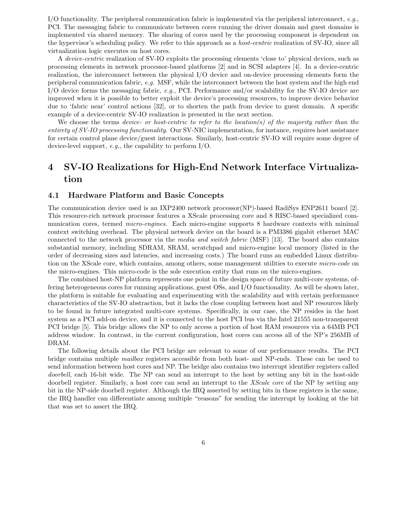I/O functionality. The peripheral communication fabric is implemented via the peripheral interconnect, e.g., PCI. The messaging fabric to communicate between cores running the driver domain and guest domains is implemented via shared memory. The sharing of cores used by the processing component is dependent on the hypervisor's scheduling policy. We refer to this approach as a host-centric realization of SV-IO, since all virtualization logic executes on host cores.

A device-centric realization of SV-IO exploits the processing elements 'close to' physical devices, such as processing elements in network processor-based platforms [2] and in SCSI adapters [4]. In a device-centric realization, the interconnect between the physical I/O device and on-device processing elements form the peripheral communication fabric, e.g. MSF, while the interconnect between the host system and the high end  $I/O$  device forms the messaging fabric, e.g., PCI. Performance and/or scalability for the SV-IO device are improved when it is possible to better exploit the device's processing resources, to improve device behavior due to 'fabric near' control actions [32], or to shorten the path from device to guest domain. A specific example of a device-centric SV-IO realization is presented in the next section.

We choose the terms device- or host-centric to refer to the location(s) of the majority rather than the entirety of SV-IO processing functionality. Our SV-NIC implementation, for instance, requires host assistance for certain control plane device/guest interactions. Similarly, host-centric SV-IO will require some degree of device-level support, e.g., the capability to perform I/O.

## 4 SV-IO Realizations for High-End Network Interface Virtualization

### 4.1 Hardware Platform and Basic Concepts

The communication device used is an IXP2400 network processor(NP)-based RadiSys ENP2611 board [2]. This resource-rich network processor features a XScale processing core and 8 RISC-based specialized communication cores, termed *micro-engines*. Each micro-engine supports 8 hardware contexts with minimal context switching overhead. The physical network device on the board is a PM3386 gigabit ethernet MAC connected to the network processor via the media and switch fabric (MSF) [13]. The board also contains substantial memory, including SDRAM, SRAM, scratchpad and micro-engine local memory (listed in the order of decreasing sizes and latencies, and increasing costs.) The board runs an embedded Linux distribution on the XScale core, which contains, among others, some management utilities to execute *micro-code* on the micro-engines. This micro-code is the sole execution entity that runs on the micro-engines.

The combined host-NP platform represents one point in the design space of future multi-core systems, offering heterogeneous cores for running applications, guest OSs, and I/O functionality. As will be shown later, the platform is suitable for evaluating and experimenting with the scalability and with certain performance characteristics of the SV-IO abstraction, but it lacks the close coupling between host and NP resources likely to be found in future integrated multi-core systems. Specifically, in our case, the NP resides in the host system as a PCI add-on device, and it is connected to the host PCI bus via the Intel 21555 non-transparent PCI bridge [5]. This bridge allows the NP to only access a portion of host RAM resources via a 64MB PCI address window. In contrast, in the current configuration, host cores can access all of the NP's 256MB of DRAM.

The following details about the PCI bridge are relevant to some of our performance results. The PCI bridge contains multiple mailbox registers accessible from both host- and NP-ends. These can be used to send information between host cores and NP. The bridge also contains two interrupt identifier registers called doorbell, each 16-bit wide. The NP can send an interrupt to the host by setting any bit in the host-side doorbell register. Similarly, a host core can send an interrupt to the XScale core of the NP by setting any bit in the NP-side doorbell register. Although the IRQ asserted by setting bits in these registers is the same, the IRQ handler can differentiate among multiple "reasons" for sending the interrupt by looking at the bit that was set to assert the IRQ.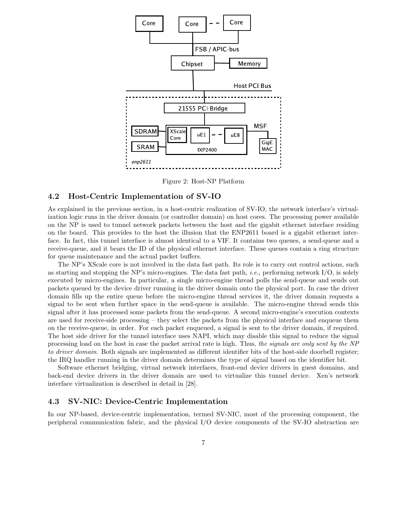

Figure 2: Host-NP Platform

#### 4.2 Host-Centric Implementation of SV-IO

As explained in the previous section, in a host-centric realization of SV-IO, the network interface's virtualization logic runs in the driver domain (or controller domain) on host cores. The processing power available on the NP is used to tunnel network packets between the host and the gigabit ethernet interface residing on the board. This provides to the host the illusion that the ENP2611 board is a gigabit ethernet interface. In fact, this tunnel interface is almost identical to a VIF. It contains two queues, a send-queue and a receive-queue, and it bears the ID of the physical ethernet interface. These queues contain a ring structure for queue maintenance and the actual packet buffers.

The NP's XScale core is not involved in the data fast path. Its role is to carry out control actions, such as starting and stopping the NP's micro-engines. The data fast path, *i.e.*, performing network  $I/O$ , is solely executed by micro-engines. In particular, a single micro-engine thread polls the send-queue and sends out packets queued by the device driver running in the driver domain onto the physical port. In case the driver domain fills up the entire queue before the micro-engine thread services it, the driver domain requests a signal to be sent when further space in the send-queue is available. The micro-engine thread sends this signal after it has processed some packets from the send-queue. A second micro-engine's execution contexts are used for receive-side processing – they select the packets from the physical interface and enqueue them on the receive-queue, in order. For each packet enqueued, a signal is sent to the driver domain, if required. The host side driver for the tunnel interface uses NAPI, which may disable this signal to reduce the signal processing load on the host in case the packet arrival rate is high. Thus, the signals are only sent by the NP to driver domain. Both signals are implemented as different identifier bits of the host-side doorbell register; the IRQ handler running in the driver domain determines the type of signal based on the identifier bit.

Software ethernet bridging, virtual network interfaces, front-end device drivers in guest domains, and back-end device drivers in the driver domain are used to virtualize this tunnel device. Xen's network interface virtualization is described in detail in [28].

### 4.3 SV-NIC: Device-Centric Implementation

In our NP-based, device-centric implementation, termed SV-NIC, most of the processing component, the peripheral communication fabric, and the physical I/O device components of the SV-IO abstraction are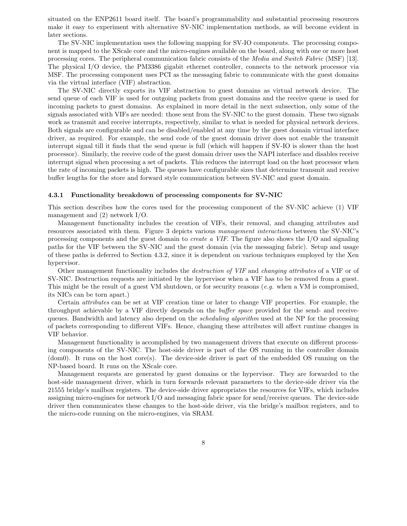situated on the ENP2611 board itself. The board's programmability and substantial processing resources make it easy to experiment with alternative SV-NIC implementation methods, as will become evident in later sections.

The SV-NIC implementation uses the following mapping for SV-IO components. The processing component is mapped to the XScale core and the micro-engines available on the board, along with one or more host processing cores. The peripheral communication fabric consists of the Media and Switch Fabric (MSF) [13]. The physical I/O device, the PM3386 gigabit ethernet controller, connects to the network processor via MSF. The processing component uses PCI as the messaging fabric to communicate with the guest domains via the virtual interface (VIF) abstraction.

The SV-NIC directly exports its VIF abstraction to guest domains as virtual network device. The send queue of each VIF is used for outgoing packets from guest domains and the receive queue is used for incoming packets to guest domains. As explained in more detail in the next subsection, only some of the signals associated with VIFs are needed: those sent from the SV-NIC to the guest domain. These two signals work as transmit and receive interrupts, respectively, similar to what is needed for physical network devices. Both signals are configurable and can be disabled/enabled at any time by the guest domain virtual interface driver, as required. For example, the send code of the guest domain driver does not enable the transmit interrupt signal till it finds that the send queue is full (which will happen if SV-IO is slower than the host processor). Similarly, the receive code of the guest domain driver uses the NAPI interface and disables receive interrupt signal when processing a set of packets. This reduces the interrupt load on the host processor when the rate of incoming packets is high. The queues have configurable sizes that determine transmit and receive buffer lengths for the store and forward style communication between SV-NIC and guest domain.

#### 4.3.1 Functionality breakdown of processing components for SV-NIC

This section describes how the cores used for the processing component of the SV-NIC achieve (1) VIF management and (2) network I/O.

Management functionality includes the creation of VIFs, their removal, and changing attributes and resources associated with them. Figure 3 depicts various management interactions between the SV-NIC's processing components and the guest domain to create a VIF. The figure also shows the I/O and signaling paths for the VIF between the SV-NIC and the guest domain (via the messaging fabric). Setup and usage of these paths is deferred to Section 4.3.2, since it is dependent on various techniques employed by the Xen hypervisor.

Other management functionality includes the *destruction of VIF* and *changing attributes* of a VIF or of SV-NIC. Destruction requests are initiated by the hypervisor when a VIF has to be removed from a guest. This might be the result of a guest VM shutdown, or for security reasons  $(e.g.$  when a VM is compromised, its NICs can be torn apart.)

Certain attributes can be set at VIF creation time or later to change VIF properties. For example, the throughput achievable by a VIF directly depends on the buffer space provided for the send- and receivequeues. Bandwidth and latency also depend on the *scheduling algorithm* used at the NP for the processing of packets corresponding to different VIFs. Hence, changing these attributes will affect runtime changes in VIF behavior.

Management functionality is accomplished by two management drivers that execute on different processing components of the SV-NIC. The host-side driver is part of the OS running in the controller domain (dom0). It runs on the host core(s). The device-side driver is part of the embedded OS running on the NP-based board. It runs on the XScale core.

Management requests are generated by guest domains or the hypervisor. They are forwarded to the host-side management driver, which in turn forwards relevant parameters to the device-side driver via the 21555 bridge's mailbox registers. The device-side driver appropriates the resources for VIFs, which includes assigning micro-engines for network I/O and messaging fabric space for send/receive queues. The device-side driver then communicates these changes to the host-side driver, via the bridge's mailbox registers, and to the micro-code running on the micro-engines, via SRAM.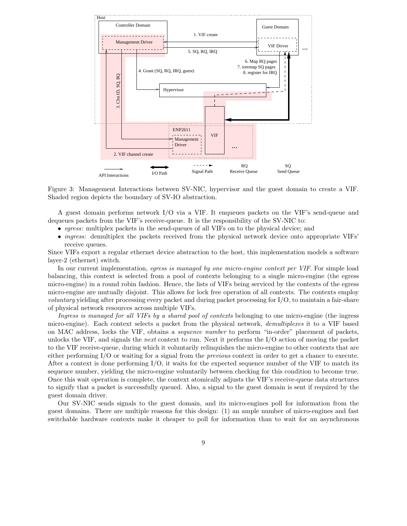

Figure 3: Management Interactions between SV-NIC, hypervisor and the guest domain to create a VIF. Shaded region depicts the boundary of SV-IO abstraction.

A guest domain performs network I/O via a VIF. It enqueues packets on the VIF's send-queue and dequeues packets from the VIF's receive-queue. It is the responsibility of the SV-NIC to:

- egress: multiplex packets in the send-queues of all VIFs on to the physical device; and
- *ingress:* demultiplex the packets received from the physical network device onto appropriate VIFs' receive queues.

Since VIFs export a regular ethernet device abstraction to the host, this implementation models a software layer-2 (ethernet) switch.

In our current implementation, egress is managed by one micro-engine context per VIF. For simple load balancing, this context is selected from a pool of contexts belonging to a single micro-engine (the egress micro-engine) in a round robin fashion. Hence, the lists of VIFs being serviced by the contexts of the egress micro-engine are mutually disjoint. This allows for lock free operation of all contexts. The contexts employ voluntary yielding after processing every packet and during packet processing for I/O, to maintain a fair-share of physical network resources across multiple VIFs.

Ingress is managed for all VIFs by a shared pool of contexts belonging to one micro-engine (the ingress micro-engine). Each context selects a packet from the physical network, demultiplexes it to a VIF based on MAC address, locks the VIF, obtains a sequence number to perform "in-order" placement of packets, unlocks the VIF, and signals the *next* context to run. Next it performs the  $I/O$  action of moving the packet to the VIF receive-queue, during which it voluntarily relinquishes the micro-engine to other contexts that are either performing I/O or waiting for a signal from the previous context in order to get a chance to execute. After a context is done performing  $I/O$ , it waits for the expected sequence number of the VIF to match its sequence number, yielding the micro-engine voluntarily between checking for this condition to become true. Once this wait operation is complete, the context atomically adjusts the VIF's receive-queue data structures to signify that a packet is successfully queued. Also, a signal to the guest domain is sent if required by the guest domain driver.

Our SV-NIC sends signals to the guest domain, and its micro-engines poll for information from the guest domains. There are multiple reasons for this design: (1) an ample number of micro-engines and fast switchable hardware contexts make it cheaper to poll for information than to wait for an asynchronous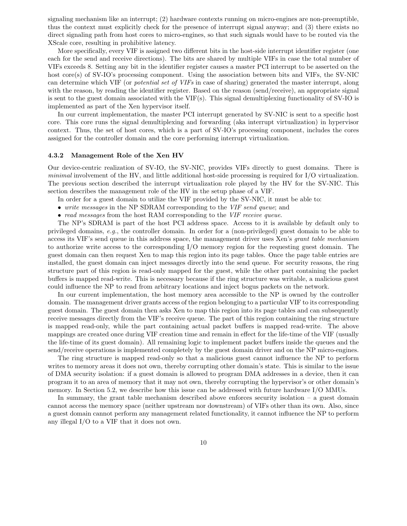signaling mechanism like an interrupt; (2) hardware contexts running on micro-engines are non-preemptible, thus the context must explicitly check for the presence of interrupt signal anyway; and (3) there exists no direct signaling path from host cores to micro-engines, so that such signals would have to be routed via the XScale core, resulting in prohibitive latency.

More specifically, every VIF is assigned two different bits in the host-side interrupt identifier register (one each for the send and receive directions). The bits are shared by multiple VIFs in case the total number of VIFs exceeds 8. Setting any bit in the identifier register causes a master PCI interrupt to be asserted on the host core(s) of SV-IO's processing component. Using the association between bits and VIFs, the SV-NIC can determine which VIF (or potential set of VIFs in case of sharing) generated the master interrupt, along with the reason, by reading the identifier register. Based on the reason (send/receive), an appropriate signal is sent to the guest domain associated with the VIF(s). This signal demultiplexing functionality of SV-IO is implemented as part of the Xen hypervisor itself.

In our current implementation, the master PCI interrupt generated by SV-NIC is sent to a specific host core. This core runs the signal demultiplexing and forwarding (aka interrupt virtualization) in hypervisor context. Thus, the set of host cores, which is a part of SV-IO's processing component, includes the cores assigned for the controller domain and the core performing interrupt virtualization.

#### 4.3.2 Management Role of the Xen HV

Our device-centric realization of SV-IO, the SV-NIC, provides VIFs directly to guest domains. There is minimal involvement of the HV, and little additional host-side processing is required for I/O virtualization. The previous section described the interrupt virtualization role played by the HV for the SV-NIC. This section describes the management role of the HV in the setup phase of a VIF.

In order for a guest domain to utilize the VIF provided by the SV-NIC, it must be able to:

- write messages in the NP SDRAM corresponding to the VIF send queue; and
- read messages from the host RAM corresponding to the *VIF receive queue*.

The NP's SDRAM is part of the host PCI address space. Access to it is available by default only to privileged domains, e.g., the controller domain. In order for a (non-privileged) guest domain to be able to access its VIF's send queue in this address space, the management driver uses Xen's grant table mechanism to authorize write access to the corresponding I/O memory region for the requesting guest domain. The guest domain can then request Xen to map this region into its page tables. Once the page table entries are installed, the guest domain can inject messages directly into the send queue. For security reasons, the ring structure part of this region is read-only mapped for the guest, while the other part containing the packet buffers is mapped read-write. This is necessary because if the ring structure was writable, a malicious guest could influence the NP to read from arbitrary locations and inject bogus packets on the network.

In our current implementation, the host memory area accessible to the NP is owned by the controller domain. The management driver grants access of the region belonging to a particular VIF to its corresponding guest domain. The guest domain then asks Xen to map this region into its page tables and can subsequently receive messages directly from the VIF's receive queue. The part of this region containing the ring structure is mapped read-only, while the part containing actual packet buffers is mapped read-write. The above mappings are created once during VIF creation time and remain in effect for the life-time of the VIF (usually the life-time of its guest domain). All remaining logic to implement packet buffers inside the queues and the send/receive operations is implemented completely by the guest domain driver and on the NP micro-engines.

The ring structure is mapped read-only so that a malicious guest cannot influence the NP to perform writes to memory areas it does not own, thereby corrupting other domain's state. This is similar to the issue of DMA security isolation: if a guest domain is allowed to program DMA addresses in a device, then it can program it to an area of memory that it may not own, thereby corrupting the hypervisor's or other domain's memory. In Section 5.2, we describe how this issue can be addressed with future hardware I/O MMUs.

In summary, the grant table mechanism described above enforces security isolation – a guest domain cannot access the memory space (neither upstream nor downstream) of VIFs other than its own. Also, since a guest domain cannot perform any management related functionality, it cannot influence the NP to perform any illegal I/O to a VIF that it does not own.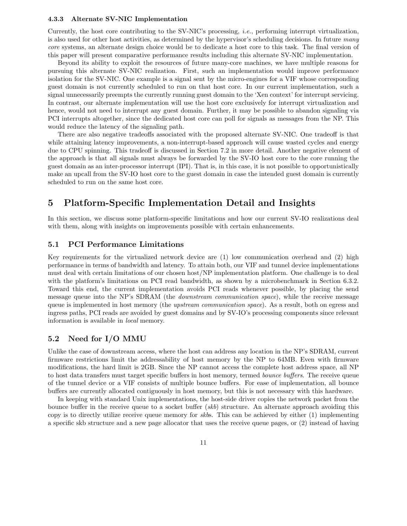#### 4.3.3 Alternate SV-NIC Implementation

Currently, the host core contributing to the SV-NIC's processing, i.e., performing interrupt virtualization, is also used for other host activities, as determined by the hypervisor's scheduling decisions. In future many core systems, an alternate design choice would be to dedicate a host core to this task. The final version of this paper will present comparative performance results including this alternate SV-NIC implementation.

Beyond its ability to exploit the resources of future many-core machines, we have multiple reasons for pursuing this alternate SV-NIC realization. First, such an implementation would improve performance isolation for the SV-NIC. One example is a signal sent by the micro-engines for a VIF whose corresponding guest domain is not currently scheduled to run on that host core. In our current implementation, such a signal unnecessarily preempts the currently running guest domain to the 'Xen context' for interrupt servicing. In contrast, our alternate implementation will use the host core exclusively for interrupt virtualization and hence, would not need to interrupt any guest domain. Further, it may be possible to abandon signaling via PCI interrupts altogether, since the dedicated host core can poll for signals as messages from the NP. This would reduce the latency of the signaling path.

There are also negative tradeoffs associated with the proposed alternate SV-NIC. One tradeoff is that while attaining latency improvements, a non-interrupt-based approach will cause wasted cycles and energy due to CPU spinning. This tradeoff is discussed in Section 7.2 in more detail. Another negative element of the approach is that all signals must always be forwarded by the SV-IO host core to the core running the guest domain as an inter-processor interrupt (IPI). That is, in this case, it is not possible to opportunistically make an upcall from the SV-IO host core to the guest domain in case the intended guest domain is currently scheduled to run on the same host core.

## 5 Platform-Specific Implementation Detail and Insights

In this section, we discuss some platform-specific limitations and how our current SV-IO realizations deal with them, along with insights on improvements possible with certain enhancements.

### 5.1 PCI Performance Limitations

Key requirements for the virtualized network device are (1) low communication overhead and (2) high performance in terms of bandwidth and latency. To attain both, our VIF and tunnel device implementations must deal with certain limitations of our chosen host/NP implementation platform. One challenge is to deal with the platform's limitations on PCI read bandwidth, as shown by a microbenchmark in Section 6.3.2. Toward this end, the current implementation avoids PCI reads whenever possible, by placing the send message queue into the NP's SDRAM (the downstream communication space), while the receive message queue is implemented in host memory (the *upstream communication space*). As a result, both on egress and ingress paths, PCI reads are avoided by guest domains and by SV-IO's processing components since relevant information is available in local memory.

### 5.2 Need for I/O MMU

Unlike the case of downstream access, where the host can address any location in the NP's SDRAM, current firmware restrictions limit the addressability of host memory by the NP to 64MB. Even with firmware modifications, the hard limit is 2GB. Since the NP cannot access the complete host address space, all NP to host data transfers must target specific buffers in host memory, termed bounce buffers. The receive queue of the tunnel device or a VIF consists of multiple bounce buffers. For ease of implementation, all bounce buffers are currently allocated contiguously in host memory, but this is not necessary with this hardware.

In keeping with standard Unix implementations, the host-side driver copies the network packet from the bounce buffer in the receive queue to a socket buffer (skb) structure. An alternate approach avoiding this copy is to directly utilize receive queue memory for skbs. This can be achieved by either (1) implementing a specific skb structure and a new page allocator that uses the receive queue pages, or (2) instead of having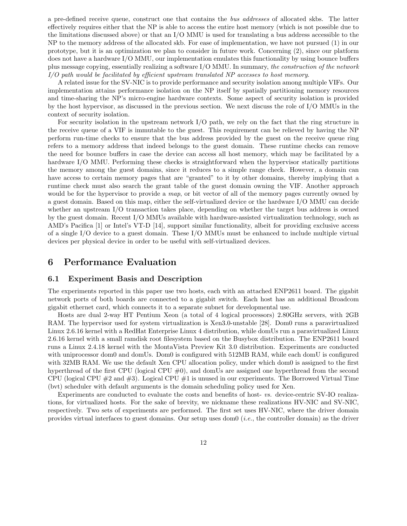a pre-defined receive queue, construct one that contains the bus addresses of allocated skbs. The latter effectively requires either that the NP is able to access the entire host memory (which is not possible due to the limitations discussed above) or that an I/O MMU is used for translating a bus address accessible to the NP to the memory address of the allocated skb. For ease of implementation, we have not pursued (1) in our prototype, but it is an optimization we plan to consider in future work. Concerning (2), since our platform does not have a hardware I/O MMU, our implementation emulates this functionality by using bounce buffers plus message copying, essentially realizing a software I/O MMU. In summary, the construction of the network I/O path would be facilitated by efficient upstream translated NP accesses to host memory.

A related issue for the SV-NIC is to provide performance and security isolation among multiple VIFs. Our implementation attains performance isolation on the NP itself by spatially partitioning memory resources and time-sharing the NP's micro-engine hardware contexts. Some aspect of security isolation is provided by the host hypervisor, as discussed in the previous section. We next discuss the role of I/O MMUs in the context of security isolation.

For security isolation in the upstream network I/O path, we rely on the fact that the ring structure in the receive queue of a VIF is immutable to the guest. This requirement can be relieved by having the NP perform run-time checks to ensure that the bus address provided by the guest on the receive queue ring refers to a memory address that indeed belongs to the guest domain. These runtime checks can remove the need for bounce buffers in case the device can access all host memory, which may be facilitated by a hardware I/O MMU. Performing these checks is straightforward when the hypervisor statically partitions the memory among the guest domains, since it reduces to a simple range check. However, a domain can have access to certain memory pages that are "granted" to it by other domains, thereby implying that a runtime check must also search the grant table of the guest domain owning the VIF. Another approach would be for the hypervisor to provide a map, or bit vector of all of the memory pages currently owned by a guest domain. Based on this map, either the self-virtualized device or the hardware I/O MMU can decide whether an upstream I/O transaction takes place, depending on whether the target bus address is owned by the guest domain. Recent I/O MMUs available with hardware-assisted virtualization technology, such as AMD's Pacifica [1] or Intel's VT-D [14], support similar functionality, albeit for providing exclusive access of a single I/O device to a guest domain. These I/O MMUs must be enhanced to include multiple virtual devices per physical device in order to be useful with self-virtualized devices.

### 6 Performance Evaluation

### 6.1 Experiment Basis and Description

The experiments reported in this paper use two hosts, each with an attached ENP2611 board. The gigabit network ports of both boards are connected to a gigabit switch. Each host has an additional Broadcom gigabit ethernet card, which connects it to a separate subnet for developmental use.

Hosts are dual 2-way HT Pentium Xeon (a total of 4 logical processors) 2.80GHz servers, with 2GB RAM. The hypervisor used for system virtualization is Xen3.0-unstable [28]. Dom0 runs a paravirtualized Linux 2.6.16 kernel with a RedHat Enterprise Linux 4 distribution, while domUs run a paravirtualized Linux 2.6.16 kernel with a small ramdisk root filesystem based on the Busybox distribution. The ENP2611 board runs a Linux 2.4.18 kernel with the MontaVista Preview Kit 3.0 distribution. Experiments are conducted with uniprocessor dom0 and domUs. Dom0 is configured with 512MB RAM, while each domU is configured with 32MB RAM. We use the default Xen CPU allocation policy, under which dom0 is assigned to the first hyperthread of the first CPU (logical CPU #0), and domUs are assigned one hyperthread from the second CPU (logical CPU  $\#2$  and  $\#3$ ). Logical CPU  $\#1$  is unused in our experiments. The Borrowed Virtual Time (bvt) scheduler with default arguments is the domain scheduling policy used for Xen.

Experiments are conducted to evaluate the costs and benefits of host- vs. device-centric SV-IO realizations, for virtualized hosts. For the sake of brevity, we nickname these realizations HV-NIC and SV-NIC, respectively. Two sets of experiments are performed. The first set uses HV-NIC, where the driver domain provides virtual interfaces to guest domains. Our setup uses dom $( i.e.,$  the controller domain) as the driver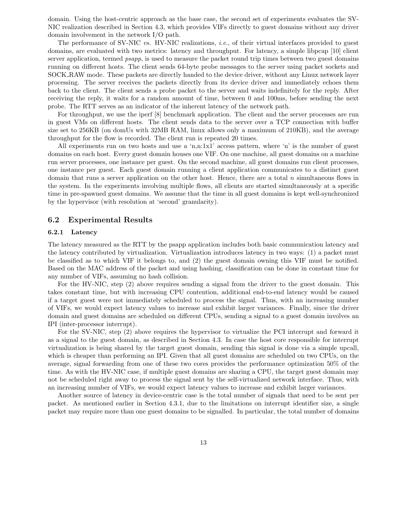domain. Using the host-centric approach as the base case, the second set of experiments evaluates the SV-NIC realization described in Section 4.3, which provides VIFs directly to guest domains without any driver domain involvement in the network I/O path.

The performance of SV-NIC vs. HV-NIC realizations, *i.e.*, of their virtual interfaces provided to guest domains, are evaluated with two metrics: latency and throughput. For latency, a simple libpcap [10] client server application, termed *psapp*, is used to measure the packet round trip times between two guest domains running on different hosts. The client sends 64-byte probe messages to the server using packet sockets and SOCK RAW mode. These packets are directly handed to the device driver, without any Linux network layer processing. The server receives the packets directly from its device driver and immediately echoes them back to the client. The client sends a probe packet to the server and waits indefinitely for the reply. After receiving the reply, it waits for a random amount of time, between 0 and 100ms, before sending the next probe. The RTT serves as an indicator of the inherent latency of the network path.

For throughput, we use the iperf [8] benchmark application. The client and the server processes are run in guest VMs on different hosts. The client sends data to the server over a TCP connection with buffer size set to 256KB (on domUs with 32MB RAM, linux allows only a maximum of 210KB), and the average throughput for the flow is recorded. The client run is repeated 20 times.

All experiments run on two hosts and use a 'n,n:1x1' access pattern, where 'n' is the number of guest domains on each host. Every guest domain houses one VIF. On one machine, all guest domains on a machine run server processes, one instance per guest. On the second machine, all guest domains run client processes, one instance per guest. Each guest domain running a client application communicates to a distinct guest domain that runs a server application on the other host. Hence, there are a total  $n$  simultaneous flows in the system. In the experiments involving multiple flows, all clients are started simultaneously at a specific time in pre-spawned guest domains. We assume that the time in all guest domains is kept well-synchronized by the hypervisor (with resolution at 'second' granularity).

### 6.2 Experimental Results

#### 6.2.1 Latency

The latency measured as the RTT by the psapp application includes both basic communication latency and the latency contributed by virtualization. Virtualization introduces latency in two ways: (1) a packet must be classified as to which VIF it belongs to, and (2) the guest domain owning this VIF must be notified. Based on the MAC address of the packet and using hashing, classification can be done in constant time for any number of VIFs, assuming no hash collision.

For the HV-NIC, step (2) above requires sending a signal from the driver to the guest domain. This takes constant time, but with increasing CPU contention, additional end-to-end latency would be caused if a target guest were not immediately scheduled to process the signal. Thus, with an increasing number of VIFs, we would expect latency values to increase and exhibit larger variances. Finally, since the driver domain and guest domains are scheduled on different CPUs, sending a signal to a guest domain involves an IPI (inter-processor interrupt).

For the SV-NIC, step (2) above requires the hypervisor to virtualize the PCI interrupt and forward it as a signal to the guest domain, as described in Section 4.3. In case the host core responsible for interrupt virtualization is being shared by the target guest domain, sending this signal is done via a simple upcall, which is cheaper than performing an IPI. Given that all guest domains are scheduled on two CPUs, on the average, signal forwarding from one of these two cores provides the performance optimization 50% of the time. As with the HV-NIC case, if multiple guest domains are sharing a CPU, the target guest domain may not be scheduled right away to process the signal sent by the self-virtualized network interface. Thus, with an increasing number of VIFs, we would expect latency values to increase and exhibit larger variances.

Another source of latency in device-centric case is the total number of signals that need to be sent per packet. As mentioned earlier in Section 4.3.1, due to the limitations on interrupt identifier size, a single packet may require more than one guest domains to be signalled. In particular, the total number of domains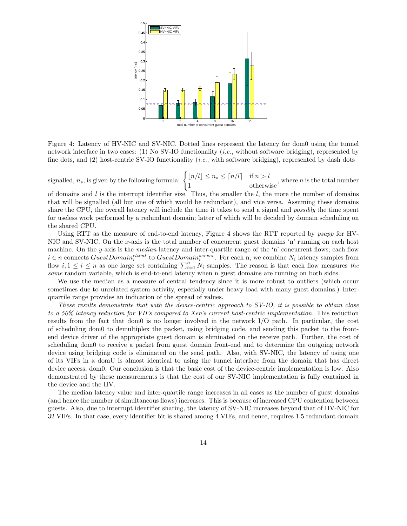

Figure 4: Latency of HV-NIC and SV-NIC. Dotted lines represent the latency for dom0 using the tunnel network interface in two cases: (1) No SV-IO functionality (i.e., without software bridging), represented by fine dots, and (2) host-centric SV-IO functionality (*i.e.*, with software bridging), represented by dash dots

signalled,  $n_s$ , is given by the following formula:  $\left\{ \lfloor n/l \rfloor \leq n_s \leq \lceil n/l \rceil \right\}$  if  $n > l$  $\frac{1}{1}$  or  $\frac{1}{2}$  or  $\frac{1}{2}$  or  $\frac{1}{2}$  otherwise, where *n* is the total number

of domains and  $l$  is the interrupt identifier size. Thus, the smaller the  $l$ , the more the number of domains that will be signalled (all but one of which would be redundant), and vice versa. Assuming these domains share the CPU, the overall latency will include the time it takes to send a signal and possibly the time spent for useless work performed by a redundant domain; latter of which will be decided by domain scheduling on the shared CPU.

Using RTT as the measure of end-to-end latency, Figure 4 shows the RTT reported by psapp for HV-NIC and SV-NIC. On the x-axis is the total number of concurrent guest domains 'n' running on each host machine. On the y-axis is the *median* latency and inter-quartile range of the 'n' concurrent flows; each flow  $i \in n$  connects  $GuestDomain_i^{client}$  to  $GuestDomain_i^{server}$ . For each n, we combine  $N_i$  latency samples from flow  $i, 1 \leq i \leq n$  as one large set containing  $\sum_{i=1}^{n} N_i$  samples. The reason is that each flow measures the same random variable, which is end-to-end latency when n guest domains are running on both sides.

We use the median as a measure of central tendency since it is more robust to outliers (which occur sometimes due to unrelated system activity, especially under heavy load with many guest domains.) Interquartile range provides an indication of the spread of values.

These results demonstrate that with the device-centric approach to SV-IO, it is possible to obtain close to a 50% latency reduction for VIFs compared to Xen's current host-centric implementation. This reduction results from the fact that dom0 is no longer involved in the network I/O path. In particular, the cost of scheduling dom0 to demultiplex the packet, using bridging code, and sending this packet to the frontend device driver of the appropriate guest domain is eliminated on the receive path. Further, the cost of scheduling dom0 to receive a packet from guest domain front-end and to determine the outgoing network device using bridging code is eliminated on the send path. Also, with SV-NIC, the latency of using one of its VIFs in a domU is almost identical to using the tunnel interface from the domain that has direct device access, dom0. Our conclusion is that the basic cost of the device-centric implementation is low. Also demonstrated by these measurements is that the cost of our SV-NIC implementation is fully contained in the device and the HV.

The median latency value and inter-quartile range increases in all cases as the number of guest domains (and hence the number of simultaneous flows) increases. This is because of increased CPU contention between guests. Also, due to interrupt identifier sharing, the latency of SV-NIC increases beyond that of HV-NIC for 32 VIFs. In that case, every identifier bit is shared among 4 VIFs, and hence, requires 1.5 redundant domain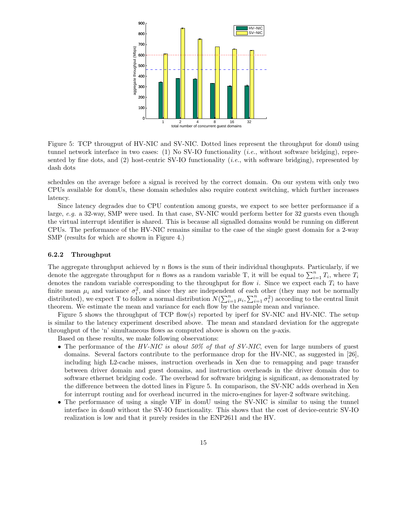

Figure 5: TCP througput of HV-NIC and SV-NIC. Dotted lines represent the throughput for dom0 using tunnel network interface in two cases: (1) No SV-IO functionality (i.e., without software bridging), represented by fine dots, and  $(2)$  host-centric SV-IO functionality (*i.e.*, with software bridging), represented by dash dots

schedules on the average before a signal is received by the correct domain. On our system with only two CPUs available for domUs, these domain schedules also require context switching, which further increases latency.

Since latency degrades due to CPU contention among guests, we expect to see better performance if a large, e.g. a 32-way, SMP were used. In that case, SV-NIC would perform better for 32 guests even though the virtual interrupt identifier is shared. This is because all signalled domains would be running on different CPUs. The performance of the HV-NIC remains similar to the case of the single guest domain for a 2-way SMP (results for which are shown in Figure 4.)

#### 6.2.2 Throughput

The aggregate throughput achieved by  $n$  flows is the sum of their individual thoughputs. Particularly, if we denote the aggregate throughput for *n* flows as a random variable T, it will be equal to  $\sum_{i=1}^{n} T_i$ , where  $T_i$ denotes the random variable corresponding to the throughput for flow i. Since we expect each  $T_i$  to have finite mean  $\mu_i$  and variance  $\sigma_i^2$ , and since they are independent of each other (they may not be normally distributed), we expect T to follow a normal distribution  $N(\sum_{i=1}^n \mu_i, \sum_{i=1}^n \sigma_i^2)$  according to the central limit theorem. We estimate the mean and variance for each flow by the sample mean and variance.

Figure 5 shows the throughput of TCP flow(s) reported by iperf for SV-NIC and HV-NIC. The setup is similar to the latency experiment described above. The mean and standard deviation for the aggregate throughput of the 'n' simultaneous flows as computed above is shown on the  $y$ -axis.

Based on these results, we make following observations:

- The performance of the  $HV-NIC$  is about 50% of that of SV-NIC, even for large numbers of guest domains. Several factors contribute to the performance drop for the HV-NIC, as suggested in [26], including high L2-cache misses, instruction overheads in Xen due to remapping and page transfer between driver domain and guest domains, and instruction overheads in the driver domain due to software ethernet bridging code. The overhead for software bridging is significant, as demonstrated by the difference between the dotted lines in Figure 5. In comparison, the SV-NIC adds overhead in Xen for interrupt routing and for overhead incurred in the micro-engines for layer-2 software switching.
- The performance of using a single VIF in domU using the SV-NIC is similar to using the tunnel interface in dom0 without the SV-IO functionality. This shows that the cost of device-centric SV-IO realization is low and that it purely resides in the ENP2611 and the HV.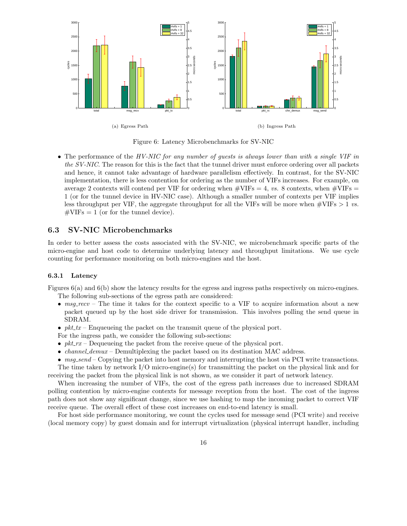

Figure 6: Latency Microbenchmarks for SV-NIC

• The performance of the HV-NIC for any number of guests is always lower than with a single VIF in the SV-NIC. The reason for this is the fact that the tunnel driver must enforce ordering over all packets and hence, it cannot take advantage of hardware parallelism effectively. In contrast, for the SV-NIC implementation, there is less contention for ordering as the number of VIFs increases. For example, on average 2 contexts will contend per VIF for ordering when  $\#\text{VIFs} = 4$ , vs. 8 contexts, when  $\#\text{VIFs} =$ 1 (or for the tunnel device in HV-NIC case). Although a smaller number of contexts per VIF implies less throughput per VIF, the aggregate throughput for all the VIFs will be more when  $\#\text{VIFs} > 1$  vs.  $\text{\#VIFs} = 1$  (or for the tunnel device).

### 6.3 SV-NIC Microbenchmarks

In order to better assess the costs associated with the SV-NIC, we microbenchmark specific parts of the micro-engine and host code to determine underlying latency and throughput limitations. We use cycle counting for performance monitoring on both micro-engines and the host.

#### 6.3.1 Latency

Figures 6(a) and 6(b) show the latency results for the egress and ingress paths respectively on micro-engines. The following sub-sections of the egress path are considered:

- msg recv The time it takes for the context specific to a VIF to acquire information about a new packet queued up by the host side driver for transmission. This involves polling the send queue in SDRAM.
- $pkt_tx$  Enqueueing the packet on the transmit queue of the physical port.
- For the ingress path, we consider the following sub-sections:
- $pkLrx$  Dequeueing the packet from the receive queue of the physical port.
- *channel demux –* Demultiplexing the packet based on its destination MAC address.
- msq.send Copying the packet into host memory and interrupting the host via PCI write transactions.

The time taken by network  $I/O$  micro-engine(s) for transmitting the packet on the physical link and for receiving the packet from the physical link is not shown, as we consider it part of network latency.

When increasing the number of VIFs, the cost of the egress path increases due to increased SDRAM polling contention by micro-engine contexts for message reception from the host. The cost of the ingress path does not show any significant change, since we use hashing to map the incoming packet to correct VIF receive queue. The overall effect of these cost increases on end-to-end latency is small.

For host side performance monitoring, we count the cycles used for message send (PCI write) and receive (local memory copy) by guest domain and for interrupt virtualization (physical interrupt handler, including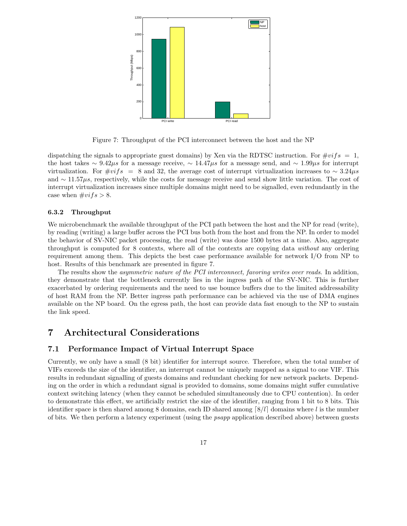

Figure 7: Throughput of the PCI interconnect between the host and the NP

dispatching the signals to appropriate guest domains) by Xen via the RDTSC instruction. For  $\#vifs = 1$ , the host takes ∼ 9.42 $\mu$ s for a message receive, ∼ 14.47 $\mu$ s for a message send, and ∼ 1.99 $\mu$ s for interrupt virtualization. For  $\#vifs = 8$  and 32, the average cost of interrupt virtualization increases to ~ 3.24 $\mu s$ and  $\sim 11.57\mu s$ , respectively, while the costs for message receive and send show little variation. The cost of interrupt virtualization increases since multiple domains might need to be signalled, even redundantly in the case when  $\#vifs > 8$ .

#### 6.3.2 Throughput

We microbenchmark the available throughput of the PCI path between the host and the NP for read (write), by reading (writing) a large buffer across the PCI bus both from the host and from the NP. In order to model the behavior of SV-NIC packet processing, the read (write) was done 1500 bytes at a time. Also, aggregate throughput is computed for 8 contexts, where all of the contexts are copying data without any ordering requirement among them. This depicts the best case performance available for network I/O from NP to host. Results of this benchmark are presented in figure 7.

The results show the *asymmetric nature of the PCI interconnect, favoring writes over reads*. In addition, they demonstrate that the bottleneck currently lies in the ingress path of the SV-NIC. This is further exacerbated by ordering requirements and the need to use bounce buffers due to the limited addressability of host RAM from the NP. Better ingress path performance can be achieved via the use of DMA engines available on the NP board. On the egress path, the host can provide data fast enough to the NP to sustain the link speed.

### 7 Architectural Considerations

### 7.1 Performance Impact of Virtual Interrupt Space

Currently, we only have a small (8 bit) identifier for interrupt source. Therefore, when the total number of VIFs exceeds the size of the identifier, an interrupt cannot be uniquely mapped as a signal to one VIF. This results in redundant signalling of guests domains and redundant checking for new network packets. Depending on the order in which a redundant signal is provided to domains, some domains might suffer cumulative context switching latency (when they cannot be scheduled simultaneously due to CPU contention). In order to demonstrate this effect, we artificially restrict the size of the identifier, ranging from 1 bit to 8 bits. This identifier space is then shared among 8 domains, each ID shared among  $\lceil 8/l \rceil$  domains where l is the number of bits. We then perform a latency experiment (using the psapp application described above) between guests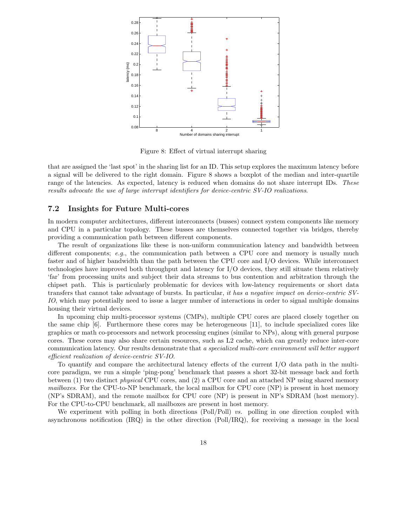

Figure 8: Effect of virtual interrupt sharing

that are assigned the 'last spot' in the sharing list for an ID. This setup explores the maximum latency before a signal will be delivered to the right domain. Figure 8 shows a boxplot of the median and inter-quartile range of the latencies. As expected, latency is reduced when domains do not share interrupt IDs. These results advocate the use of large interrupt identifiers for device-centric SV-IO realizations.

### 7.2 Insights for Future Multi-cores

In modern computer architectures, different interconnects (busses) connect system components like memory and CPU in a particular topology. These busses are themselves connected together via bridges, thereby providing a communication path between different components.

The result of organizations like these is non-uniform communication latency and bandwidth between different components; e.g., the communication path between a CPU core and memory is usually much faster and of higher bandwidth than the path between the CPU core and I/O devices. While interconnect technologies have improved both throughput and latency for I/O devices, they still situate them relatively 'far' from processing units and subject their data streams to bus contention and arbitration through the chipset path. This is particularly problematic for devices with low-latency requirements or short data transfers that cannot take advantage of bursts. In particular, it has a negative impact on device-centric SV-IO, which may potentially need to issue a larger number of interactions in order to signal multiple domains housing their virtual devices.

In upcoming chip multi-processor systems (CMPs), multiple CPU cores are placed closely together on the same chip [6]. Furthermore these cores may be heterogeneous [11], to include specialized cores like graphics or math co-processors and network processing engines (similar to NPs), along with general purpose cores. These cores may also share certain resources, such as L2 cache, which can greatly reduce inter-core communication latency. Our results demonstrate that a specialized multi-core environment will better support efficient realization of device-centric SV-IO.

To quantify and compare the architectural latency effects of the current I/O data path in the multicore paradigm, we run a simple 'ping-pong' benchmark that passes a short 32-bit message back and forth between (1) two distinct physical CPU cores, and (2) a CPU core and an attached NP using shared memory mailboxes. For the CPU-to-NP benchmark, the local mailbox for CPU core (NP) is present in host memory (NP's SDRAM), and the remote mailbox for CPU core (NP) is present in NP's SDRAM (host memory). For the CPU-to-CPU benchmark, all mailboxes are present in host memory.

We experiment with polling in both directions (Poll/Poll) vs. polling in one direction coupled with asynchronous notification (IRQ) in the other direction (Poll/IRQ), for receiving a message in the local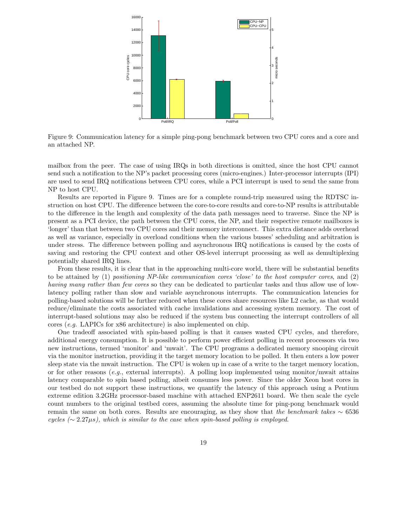

Figure 9: Communication latency for a simple ping-pong benchmark between two CPU cores and a core and an attached NP.

mailbox from the peer. The case of using IRQs in both directions is omitted, since the host CPU cannot send such a notification to the NP's packet processing cores (micro-engines.) Inter-processor interrupts (IPI) are used to send IRQ notifications between CPU cores, while a PCI interrupt is used to send the same from NP to host CPU.

Results are reported in Figure 9. Times are for a complete round-trip measured using the RDTSC instruction on host CPU. The difference between the core-to-core results and core-to-NP results is attributable to the difference in the length and complexity of the data path messages need to traverse. Since the NP is present as a PCI device, the path between the CPU cores, the NP, and their respective remote mailboxes is 'longer' than that between two CPU cores and their memory interconnect. This extra distance adds overhead as well as variance, especially in overload conditions when the various busses' scheduling and arbitration is under stress. The difference between polling and asynchronous IRQ notifications is caused by the costs of saving and restoring the CPU context and other OS-level interrupt processing as well as demultiplexing potentially shared IRQ lines.

From these results, it is clear that in the approaching multi-core world, there will be substantial benefits to be attained by (1) positioning NP-like communication cores 'close' to the host computer cores, and (2) having many rather than few cores so they can be dedicated to particular tasks and thus allow use of lowlatency polling rather than slow and variable asynchronous interrupts. The communication latencies for polling-based solutions will be further reduced when these cores share resources like L2 cache, as that would reduce/eliminate the costs associated with cache invalidations and accessing system memory. The cost of interrupt-based solutions may also be reduced if the system bus connecting the interrupt controllers of all cores (e.g. LAPICs for x86 architecture) is also implemented on chip.

One tradeoff associated with spin-based polling is that it causes wasted CPU cycles, and therefore, additional energy consumption. It is possible to perform power efficient polling in recent processors via two new instructions, termed 'monitor' and 'mwait'. The CPU programs a dedicated memory snooping circuit via the monitor instruction, providing it the target memory location to be polled. It then enters a low power sleep state via the mwait instruction. The CPU is woken up in case of a write to the target memory location, or for other reasons (e.g., external interrupts). A polling loop implemented using monitor/mwait attains latency comparable to spin based polling, albeit consumes less power. Since the older Xeon host cores in our testbed do not support these instructions, we quantify the latency of this approach using a Pentium extreme edition 3.2GHz processor-based machine with attached ENP2611 board. We then scale the cycle count numbers to the original testbed cores, assuming the absolute time for ping-pong benchmark would remain the same on both cores. Results are encouraging, as they show that the benchmark takes  $\sim 6536$ cycles ( $\sim$  2.27 $\mu$ s), which is similar to the case when spin-based polling is employed.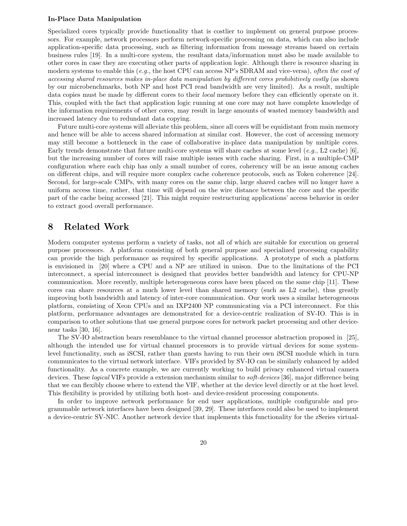#### In-Place Data Manipulation

Specialized cores typically provide functionality that is costlier to implement on general purpose processors. For example, network processors perform network-specific processing on data, which can also include application-specific data processing, such as filtering information from message streams based on certain business rules [19]. In a multi-core system, the resultant data/information must also be made available to other cores in case they are executing other parts of application logic. Although there is resource sharing in modern systems to enable this (e.g., the host CPU can access NP's SDRAM and vice-versa), often the cost of accessing shared resources makes in-place data manipulation by different cores prohibitively costly (as shown by our microbenchmarks, both NP and host PCI read bandwidth are very limited). As a result, multiple data copies must be made by different cores to their *local* memory before they can efficiently operate on it. This, coupled with the fact that application logic running at one core may not have complete knowledge of the information requirements of other cores, may result in large amounts of wasted memory bandwidth and increased latency due to redundant data copying.

Future multi-core systems will alleviate this problem, since all cores will be equidistant from main memory and hence will be able to access shared information at similar cost. However, the cost of accessing memory may still become a bottleneck in the case of collaborative in-place data manipulation by multiple cores. Early trends demonstrate that future multi-core systems will share caches at some level  $(e.g., L2 \text{ cache})$  [6]. but the increasing number of cores will raise multiple issues with cache sharing. First, in a multiple-CMP configuration where each chip has only a small number of cores, coherency will be an issue among caches on different chips, and will require more complex cache coherence protocols, such as Token coherence [24]. Second, for large-scale CMPs, with many cores on the same chip, large shared caches will no longer have a uniform access time, rather, that time will depend on the wire distance between the core and the specific part of the cache being accessed [21]. This might require restructuring applications' access behavior in order to extract good overall performance.

### 8 Related Work

Modern computer systems perform a variety of tasks, not all of which are suitable for execution on general purpose processors. A platform consisting of both general purpose and specialized processing capability can provide the high performance as required by specific applications. A prototype of such a platform is envisioned in [20] where a CPU and a NP are utilized in unison. Due to the limitations of the PCI interconnect, a special interconnect is designed that provides better bandwidth and latency for CPU-NP communication. More recently, multiple heterogeneous cores have been placed on the same chip [11]. These cores can share resources at a much lower level than shared memory (such as L2 cache), thus greatly improving both bandwidth and latency of inter-core communication. Our work uses a similar heterogeneous platform, consisting of Xeon CPUs and an IXP2400 NP communicating via a PCI interconnect. For this platform, performance advantages are demonstrated for a device-centric realization of SV-IO. This is in comparison to other solutions that use general purpose cores for network packet processing and other devicenear tasks [30, 16].

The SV-IO abstraction bears resemblance to the virtual channel processor abstraction proposed in [25], although the intended use for virtual channel processors is to provide virtual devices for some systemlevel functionality, such as iSCSI, rather than guests having to run their own iSCSI module which in turn communicates to the virtual network interface. VIFs provided by SV-IO can be similarly enhanced by added functionality. As a concrete example, we are currently working to build privacy enhanced virtual camera devices. These *logical* VIFs provide a extension mechanism similar to *soft-devices* [36], major difference being that we can flexibly choose where to extend the VIF, whether at the device level directly or at the host level. This flexibility is provided by utilizing both host- and device-resident processing components.

In order to improve network performance for end user applications, multiple configurable and programmable network interfaces have been designed [39, 29]. These interfaces could also be used to implement a device-centric SV-NIC. Another network device that implements this functionality for the zSeries virtual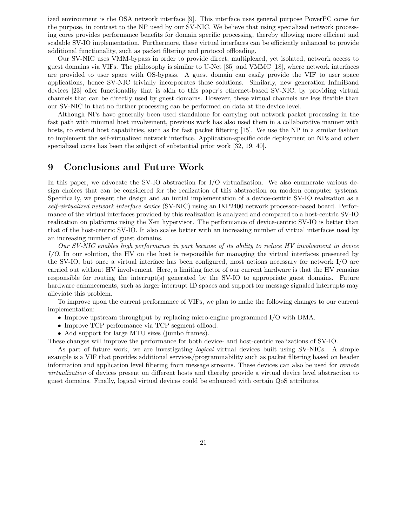ized environment is the OSA network interface [9]. This interface uses general purpose PowerPC cores for the purpose, in contrast to the NP used by our SV-NIC. We believe that using specialized network processing cores provides performance benefits for domain specific processing, thereby allowing more efficient and scalable SV-IO implementation. Furthermore, these virtual interfaces can be efficiently enhanced to provide additional functionality, such as packet filtering and protocol offloading.

Our SV-NIC uses VMM-bypass in order to provide direct, multiplexed, yet isolated, network access to guest domains via VIFs. The philosophy is similar to U-Net [35] and VMMC [18], where network interfaces are provided to user space with OS-bypass. A guest domain can easily provide the VIF to user space applications, hence SV-NIC trivially incorporates these solutions. Similarly, new generation InfiniBand devices [23] offer functionality that is akin to this paper's ethernet-based SV-NIC, by providing virtual channels that can be directly used by guest domains. However, these virtual channels are less flexible than our SV-NIC in that no further processing can be performed on data at the device level.

Although NPs have generally been used standalone for carrying out network packet processing in the fast path with minimal host involvement, previous work has also used them in a collaborative manner with hosts, to extend host capabilities, such as for fast packet filtering [15]. We use the NP in a similar fashion to implement the self-virtualized network interface. Application-specific code deployment on NPs and other specialized cores has been the subject of substantial prior work [32, 19, 40].

### 9 Conclusions and Future Work

In this paper, we advocate the SV-IO abstraction for I/O virtualization. We also enumerate various design choices that can be considered for the realization of this abstraction on modern computer systems. Specifically, we present the design and an initial implementation of a device-centric SV-IO realization as a self-virtualized network interface device (SV-NIC) using an IXP2400 network processor-based board. Performance of the virtual interfaces provided by this realization is analyzed and compared to a host-centric SV-IO realization on platforms using the Xen hypervisor. The performance of device-centric SV-IO is better than that of the host-centric SV-IO. It also scales better with an increasing number of virtual interfaces used by an increasing number of guest domains.

Our SV-NIC enables high performance in part because of its ability to reduce HV involvement in device I/O. In our solution, the HV on the host is responsible for managing the virtual interfaces presented by the SV-IO, but once a virtual interface has been configured, most actions necessary for network I/O are carried out without HV involvement. Here, a limiting factor of our current hardware is that the HV remains responsible for routing the interrupt(s) generated by the SV-IO to appropriate guest domains. Future hardware enhancements, such as larger interrupt ID spaces and support for message signaled interrupts may alleviate this problem.

To improve upon the current performance of VIFs, we plan to make the following changes to our current implementation:

- Improve upstream throughput by replacing micro-engine programmed I/O with DMA.
- Improve TCP performance via TCP segment offload.
- Add support for large MTU sizes (jumbo frames).

These changes will improve the performance for both device- and host-centric realizations of SV-IO.

As part of future work, we are investigating logical virtual devices built using SV-NICs. A simple example is a VIF that provides additional services/programmability such as packet filtering based on header information and application level filtering from message streams. These devices can also be used for remote virtualization of devices present on different hosts and thereby provide a virtual device level abstraction to guest domains. Finally, logical virtual devices could be enhanced with certain QoS attributes.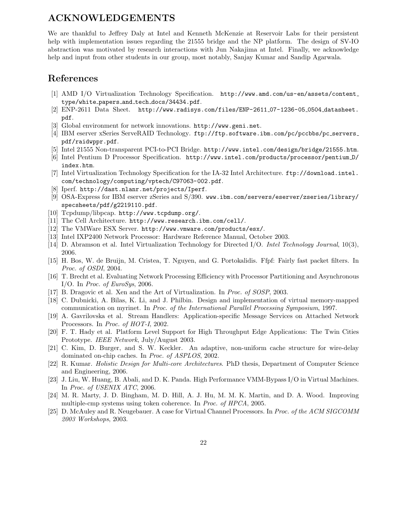## ACKNOWLEDGEMENTS

We are thankful to Jeffrey Daly at Intel and Kenneth McKenzie at Reservoir Labs for their persistent help with implementation issues regarding the 21555 bridge and the NP platform. The design of SV-IO abstraction was motivated by research interactions with Jun Nakajima at Intel. Finally, we acknowledge help and input from other students in our group, most notably, Sanjay Kumar and Sandip Agarwala.

## References

- [1] AMD I/O Virtualization Technology Specification. http://www.amd.com/us-en/assets/content type/white papers and tech docs/34434.pdf.
- [2] ENP-2611 Data Sheet. http://www.radisys.com/files/ENP-2611 07-1236-05 0504 datasheet. pdf.
- [3] Global environment for network innovations. http://www.geni.net.
- [4] IBM eserver xSeries ServeRAID Technology. ftp://ftp.software.ibm.com/pc/pccbbs/pc\_servers\_ pdf/raidwppr.pdf.
- [5] Intel 21555 Non-transparent PCI-to-PCI Bridge. http://www.intel.com/design/bridge/21555.htm.
- [6] Intel Pentium D Processor Specification. http://www.intel.com/products/processor/pentium D/ index.htm.
- [7] Intel Virtualization Technology Specification for the IA-32 Intel Architecture. ftp://download.intel. com/technology/computing/vptech/C97063-002.pdf.
- [8] Iperf. http://dast.nlanr.net/projects/Iperf.
- [9] OSA-Express for IBM eserver zSeries and S/390. www.ibm.com/servers/eserver/zseries/library/ specsheets/pdf/g2219110.pdf.
- [10] Tcpdump/libpcap. http://www.tcpdump.org/.
- [11] The Cell Architecture. http://www.research.ibm.com/cell/.
- [12] The VMWare ESX Server. http://www.vmware.com/products/esx/.
- [13] Intel IXP2400 Network Processor: Hardware Reference Manual, October 2003.
- [14] D. Abramson et al. Intel Virtualization Technology for Directed I/O. Intel Technology Journal, 10(3), 2006.
- [15] H. Bos, W. de Bruijn, M. Cristea, T. Nguyen, and G. Portokalidis. Ffpf: Fairly fast packet filters. In Proc. of OSDI, 2004.
- [16] T. Brecht et al. Evaluating Network Processing Efficiency with Processor Partitioning and Asynchronous I/O. In Proc. of EuroSys, 2006.
- [17] B. Dragovic et al. Xen and the Art of Virtualization. In Proc. of SOSP, 2003.
- [18] C. Dubnicki, A. Bilas, K. Li, and J. Philbin. Design and implementation of virtual memory-mapped communication on myrinet. In Proc. of the International Parallel Processing Symposium, 1997.
- [19] A. Gavrilovska et al. Stream Handlers: Application-specific Message Services on Attached Network Processors. In Proc. of HOT-I, 2002.
- [20] F. T. Hady et al. Platform Level Support for High Throughput Edge Applications: The Twin Cities Prototype. IEEE Network, July/August 2003.
- [21] C. Kim, D. Burger, and S. W. Keckler. An adaptive, non-uniform cache structure for wire-delay dominated on-chip caches. In Proc. of ASPLOS, 2002.
- [22] R. Kumar. Holistic Design for Multi-core Architectures. PhD thesis, Department of Computer Science and Engineering, 2006.
- [23] J. Liu, W. Huang, B. Abali, and D. K. Panda. High Performance VMM-Bypass I/O in Virtual Machines. In Proc. of USENIX ATC, 2006.
- [24] M. R. Marty, J. D. Bingham, M. D. Hill, A. J. Hu, M. M. K. Martin, and D. A. Wood. Improving multiple-cmp systems using token coherence. In Proc. of HPCA, 2005.
- [25] D. McAuley and R. Neugebauer. A case for Virtual Channel Processors. In Proc. of the ACM SIGCOMM 2003 Workshops, 2003.